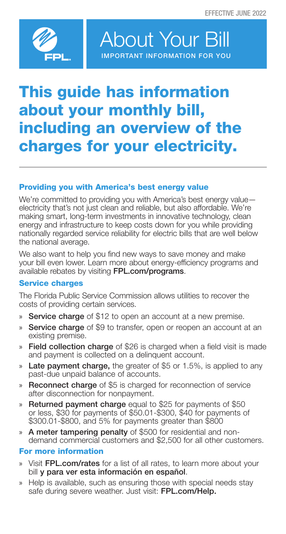

About Your Bill IMPORTANT INFORMATION FOR YOU

## This guide has information about your monthly bill, including an overview of the charges for your electricity.

## Providing you with America's best energy value

We're committed to providing you with America's best energy value electricity that's not just clean and reliable, but also affordable. We're making smart, long-term investments in innovative technology, clean energy and infrastructure to keep costs down for you while providing nationally regarded service reliability for electric bills that are well below the national average.

We also want to help you find new ways to save money and make your bill even lower. Learn more about energy-efficiency programs and available rebates by visiting FPL.com/programs.

## Service charges

The Florida Public Service Commission allows utilities to recover the costs of providing certain services.

- » Service charge of \$12 to open an account at a new premise.
- » Service charge of \$9 to transfer, open or reopen an account at an existing premise.
- » Field collection charge of \$26 is charged when a field visit is made and payment is collected on a delinquent account.
- » Late payment charge, the greater of \$5 or 1.5%, is applied to any past-due unpaid balance of accounts.
- » Reconnect charge of \$5 is charged for reconnection of service after disconnection for nonpayment.
- » Returned payment charge equal to \$25 for payments of \$50 or less, \$30 for payments of \$50.01-\$300, \$40 for payments of \$300.01-\$800, and 5% for payments greater than \$800
- » A meter tampering penalty of \$500 for residential and nondemand commercial customers and \$2,500 for all other customers.

## For more information

- Visit FPL.com/rates for a list of all rates, to learn more about your bill y para ver esta información en español.
- » Help is available, such as ensuring those with special needs stay safe during severe weather. Just visit: FPL.com/Help.